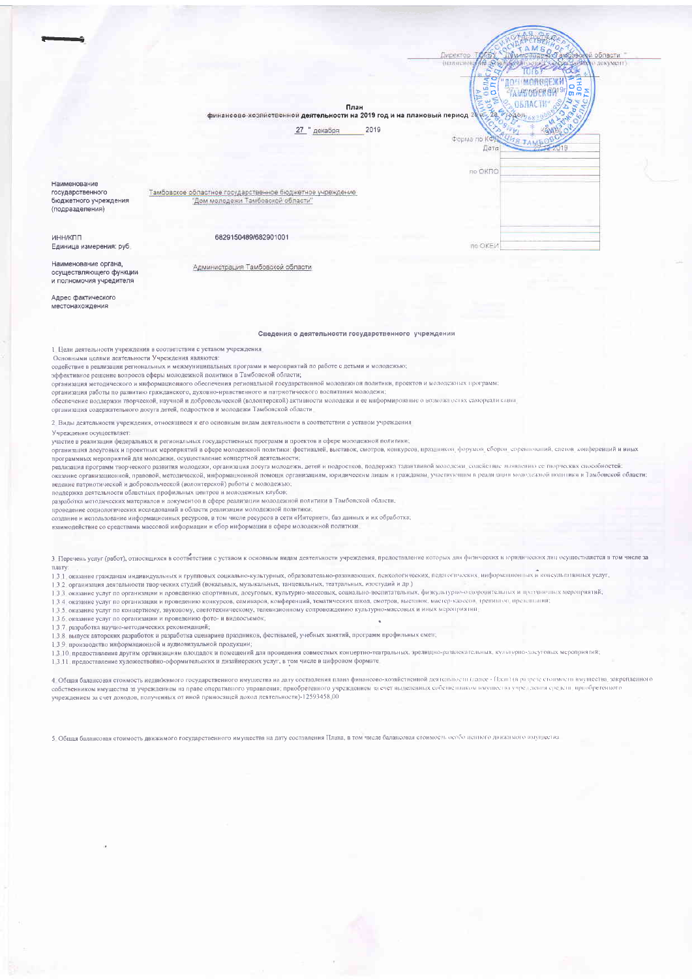**Doss** 

финансово-хозяйственной деятельности на 2019 год и на плановый период

2019 27 декабря

Форма по  $974M5$ Дата

'n

по ОКПС

no OKEV

Директор

Acrophe AMERICAN

**ПОМ МОЛЕЕЖИ** 

**ОБЛАСТИ** 

**ALOIN** 

AMSOBERGHI9r

KONE

ö

области

Тамбовское областное государственное бюджетное учреждение "Дом молодежи Тамбовской области"

6829150489/682901001

Администрация Тамбовской области

иннипп Единица измерения: руб

бюджетного учреждения

Наименование государственного

(подразделения)

Наименование органа осушествляющего функции и полномочия учредителя

Адрес фактического местонахождения

Сведения о деятельности государственного учреждения

1 Цели деятельности учреждения в соответствии с уставом учреждения

Основными целями деятельности Учреждения являются:

солействие в реализации региональных и межмуниципальных программ и мероприятий по работе с детьми и молодежью;

эффективное решение вопросов сферы молодежной политики в Тамбовской области;

организация методического и информационного обеспечения региональной государственной молодежной политики, проектов и молодежных программ:

организация работы по развитию гражданского, духовно-нравственного и патриотического воспитания молодежи;

обеспечение поддержки творческой, научной и добровольческой (волонтерской) активности молодежи и ее информирование о возможностях самореали санна организация содержательного досуга детей, подростков и молодежи Тамбовской области

2 Виды деятельности учреждения, относящиеся к его основным видам деятельности в соответствии с уставом учреждения

Учреждение осуществляет:

о произведения.<br>- участие в реализации федеральных и региональных государственных программ и проектов в сфере молодежной политики;

реализация программ творческого развития молодежи, организация досуга молодежи, детей и подростков, поддержка талантливой молодежи, соцействие шлянению ее пюрческих сиособностей. оказание организационной, правовой, методической, информационной помощи организациям, юридическим лицам и гражданам, участвующим в реализации молодежной политики в Тамбовской области: ведение патриотической и добровольческой (волонтерской) работы с молодежью;

поддержка деятельности областных профильных центров и молодежных клубов;

разработка методических материалов и документов в сфере реализации молодежной политики в Тамбонской области,

проведение социологических исследований в области реализации молодежной политики;

создание и использование информационных ресурсов, в том числе ресурсов в сети «Интернет», баз данных и их обработка:

взаимодействие со средствами массовой информации и сбор информации в сфере молодежной политики

3. Перечень услуг (работ), относящихся в соответствии с уставом к основным видам деятельности учреждения, предоставление которых для физических и юридических лиц осуществляется в том числе за плату

13.1. оказание гражданам индивидуальных и групповых социально-кльтурных, образовательно-развивающих, пеихологических, педагогических, информационных в конеультативных услуг,<br>13.2. организация деятельности творческих студи

1.3.3 оказание услуг по организации и проведенню спортивных, досуговых, культурно-массовых, социально-воспитательных, физкультурно-оздоровительных и празчинчимх мероприятий;

1.3.4, оказание услуг по организации и проведению конкурсов, семинаров, конференций, тематических школ, смотров, выстанок, мастер-классов, тренингов, презентаний;

1.3.5. оказание услуг по концертному, звуковому, светотехническому, телевизионному сопровождению культурно-массовых и иных мероприятий.

136 оказание услуг по организации и проведению фото- и видеосъемок;

1 3 7 разработка научно-методических рекомендаций;

1.3.8. выпуск авторских разработок и разработка сценариев праздников, фестивалей, учебных занятий, программ профильных смен;

1.3.9. производство информационной и аудиовизуальной продукции;

1.3.10 предоставление другим организациям площадок и помещений для проведения совместных концертно-театральных, зрелицио-развлекательных, культурно-досуговых мероприятий.

1.3.11. предоставление художественно-оформительских и дизайнерских услуг, в том числе в цифровом формате

4. Общая балансовая стоимость недвижимого государственного имущества на дату составления плана финансово-хозяйственной деятельности (даже - План) (в разрезе стоимости имущества, закрепленного собственником имущества за учреждением на праве оперативного управления; приобретенного учреждением за ечет выделенных собственником имущества уч реддения средсти приобретенного учреждением за счет доходов, полученных от иной приносящей доход деятельности)-12593458.00

5. Общая балансовая стоимость движимого государственного имущества на дату составления Плана, в том числе балансовая стоимость особо ненного днижимого имущества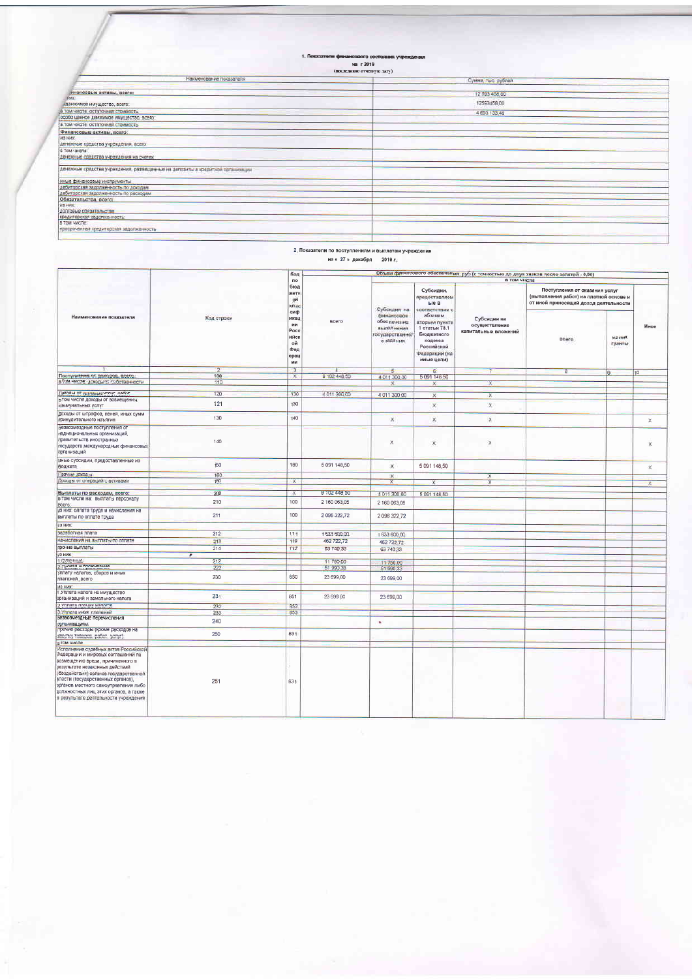**D** на г 2019

|                                                                               | (ВОСЛединно отчетную дату) |
|-------------------------------------------------------------------------------|----------------------------|
| Наименование показателя                                                       | Сумма, тыс. рублей         |
| ИНВНСОВЫЕ ВКТИВЫ, ВСЕГО:                                                      | 12 593 458 00              |
| <b>GAST</b><br>идоижники имущество, всего:                                    | 12593458.00                |
| TOM HACRE OCTATO-INER CTOMMOCTIS                                              | 4 693 133,46               |
| особо ценное движимое имущество, всего:                                       |                            |
| В том числе остаточная стоимость                                              |                            |
| Финансовые активы, всего:                                                     |                            |
| M3 HMX<br>денежные средства учреждения, всего                                 |                            |
| в том числе<br>денежные средства учреждения на счетах                         |                            |
| денежные средства учреждения, размещенные на депозиты в кредитной соганизации |                            |
| иные финансовые инструменты                                                   |                            |
| дебиторская задолженность по доходим                                          |                            |
| дебиторская задолженность по расходам                                         |                            |
| Обязательства, всего                                                          |                            |
| <b>VIS HACK</b>                                                               |                            |
| долговые обязательстви                                                        |                            |
| кредиторская задолженность:                                                   |                            |
| <b>B TOM WACTIE</b>                                                           |                            |
| просроченная кредиторская задолженность                                       |                            |

## .<br>2. Показатели по поступлениям и выплатам учреждения<br>1019 г.

|                                                                                                                                                                                                                                                                                                                |               | Код                                                   |              |                                                                                |                                                                                                                 |                                                      | Объем финансового обеспечения, руб (с точностью до двух знаков после запятой - 0,00)                             |                          |                 |
|----------------------------------------------------------------------------------------------------------------------------------------------------------------------------------------------------------------------------------------------------------------------------------------------------------------|---------------|-------------------------------------------------------|--------------|--------------------------------------------------------------------------------|-----------------------------------------------------------------------------------------------------------------|------------------------------------------------------|------------------------------------------------------------------------------------------------------------------|--------------------------|-----------------|
|                                                                                                                                                                                                                                                                                                                |               | по                                                    |              |                                                                                |                                                                                                                 | В ТОМ ЧИСЛЕ                                          |                                                                                                                  |                          |                 |
|                                                                                                                                                                                                                                                                                                                |               | бюд<br>жетн<br>oй<br>клас<br>сиф                      |              | Субоидия: на                                                                   | Субсидии,<br>предоставляем<br>ые в<br>соответствии с                                                            |                                                      | Поступления от оказания услуг<br>(выполнения работ) на платной основе и<br>от иной приносящей доход деятельности |                          |                 |
| Наименование показателя                                                                                                                                                                                                                                                                                        | Код строки    | икац<br>ии<br>Pocc<br>ийск<br>ой<br>Фед<br>ерац<br>ии | всего        | финансовое<br>обеспечение<br><b>Выполнения</b><br>осударственног<br>о задания. | абзацем<br>аторым пункта<br>1 статьи 78.1<br>Бюджетного<br>кодекса<br>Российской<br>Федерации (на<br>иные цели) | Субсидии на<br>осуществление<br>капитальных вложений | <b>BC#ro</b>                                                                                                     | <b>XIVE EN</b><br>гранты | Иное            |
|                                                                                                                                                                                                                                                                                                                | $\mathcal{D}$ | т                                                     | $\mathbf{I}$ | 5                                                                              | 6                                                                                                               |                                                      | $\overline{a}$                                                                                                   | 10                       | 10 <sup>1</sup> |
| Поступления от доходов, всего                                                                                                                                                                                                                                                                                  | 100           | x                                                     | 9 102 448.50 | 4 011 300,00                                                                   | 5 091 148 50                                                                                                    |                                                      |                                                                                                                  |                          |                 |
| в том числе: доходы от собственности                                                                                                                                                                                                                                                                           | 110           |                                                       |              | $\mathbf x$                                                                    | $\chi$                                                                                                          | Χ                                                    |                                                                                                                  |                          |                 |
| Доходы от сказания успуг, работ                                                                                                                                                                                                                                                                                | 120           | 130                                                   | 4 011 300,00 | 4 011 300 00                                                                   | $\chi$                                                                                                          | $\chi$                                               |                                                                                                                  |                          |                 |
| в том числе доходы от возмещения<br>коммунальных услуг                                                                                                                                                                                                                                                         | 121           | 130                                                   |              |                                                                                | ×                                                                                                               | $\mathbf{x}$                                         |                                                                                                                  |                          |                 |
| Доходы от штрафов, пеней, иных сумм<br>принудительного изъятия                                                                                                                                                                                                                                                 | 130           | 140                                                   |              | $\mathbf{x}$                                                                   | $\chi$                                                                                                          | $\mathsf{x}$                                         |                                                                                                                  |                          | $\mathsf X$     |
| Безвозмездные поступления от<br>наднациональных организаций,<br>правительств иностранных<br>государств международных финансовых<br>прганизаций                                                                                                                                                                 | 140           |                                                       |              | X                                                                              | ×                                                                                                               | ×                                                    |                                                                                                                  |                          | $\mathbf x$     |
| Иные субсидии, предоставленные из<br>бюджета                                                                                                                                                                                                                                                                   | 150           | 180                                                   | 5 091 148,50 | ×                                                                              | 5 091 148,50                                                                                                    |                                                      |                                                                                                                  |                          | $\mathcal{R}$   |
| Прочие доходы                                                                                                                                                                                                                                                                                                  | 160           |                                                       |              | ×                                                                              |                                                                                                                 | ×                                                    |                                                                                                                  |                          |                 |
| Доходы от операций с активами                                                                                                                                                                                                                                                                                  | 180           | $\mathbf{x}$                                          |              | $\overline{X}$                                                                 | ×                                                                                                               | x                                                    |                                                                                                                  |                          | x               |
| Выплаты по расходам, всего:                                                                                                                                                                                                                                                                                    | 200           | x                                                     | 9 102 448 50 | 4 011 300.00                                                                   |                                                                                                                 |                                                      |                                                                                                                  |                          |                 |
| в том числе на: выллаты персоналу<br>Ecero.                                                                                                                                                                                                                                                                    | 210           | 100                                                   | 2 160 063,05 | 2 160 063,05                                                                   | 5 091 148,50                                                                                                    |                                                      |                                                                                                                  |                          |                 |
| из них: оппата труда и начисления на<br>выплаты по оплате труда                                                                                                                                                                                                                                                | 211           | 100                                                   | 2 096 322,72 | 2 096 322 72                                                                   |                                                                                                                 |                                                      |                                                                                                                  |                          |                 |
| из них:                                                                                                                                                                                                                                                                                                        |               |                                                       |              |                                                                                |                                                                                                                 |                                                      |                                                                                                                  |                          |                 |
| заработная плата                                                                                                                                                                                                                                                                                               | 212           | 111                                                   | 1 633 600,00 | 1 633 600 00                                                                   |                                                                                                                 |                                                      |                                                                                                                  |                          |                 |
| <b>Hanno on Grannes se anemationed</b>                                                                                                                                                                                                                                                                         | 213           | 119                                                   | 462 722.72   | 462 722 72                                                                     |                                                                                                                 |                                                      |                                                                                                                  |                          |                 |
| прочие выплаты                                                                                                                                                                                                                                                                                                 | 214           | 112                                                   | 63 740 33    | 63 740 33                                                                      |                                                                                                                 |                                                      |                                                                                                                  |                          |                 |
| ИЗ НИХ                                                                                                                                                                                                                                                                                                         | ×             |                                                       |              |                                                                                |                                                                                                                 |                                                      |                                                                                                                  |                          |                 |
| 1. Суточные                                                                                                                                                                                                                                                                                                    | 212           |                                                       | 11 750,00    | 11.750.00                                                                      |                                                                                                                 |                                                      |                                                                                                                  |                          |                 |
| 2. Проезд и проживание<br>Уплату налогов, сборов и иных                                                                                                                                                                                                                                                        | 222           |                                                       | 51950,33     | 51 990,33                                                                      |                                                                                                                 |                                                      |                                                                                                                  |                          |                 |
| глатежей, всего<br><b>IRB HIAX</b>                                                                                                                                                                                                                                                                             | 230           | 650                                                   | 23 699,00    | 23 699,00                                                                      |                                                                                                                 |                                                      |                                                                                                                  |                          |                 |
| 1. Уплата налога на имущество<br>организаций и земельного налога                                                                                                                                                                                                                                               | 231           | 851                                                   | 23 699,00    | 23 699,00                                                                      |                                                                                                                 |                                                      |                                                                                                                  |                          |                 |
| 2. Уплата прочих напогов                                                                                                                                                                                                                                                                                       | 232           | 852                                                   |              |                                                                                |                                                                                                                 |                                                      |                                                                                                                  |                          |                 |
| 3. Уллата иных платемей                                                                                                                                                                                                                                                                                        | 223           | 853                                                   |              |                                                                                |                                                                                                                 |                                                      |                                                                                                                  |                          |                 |
| Безвозмездные перечисления<br>организациям                                                                                                                                                                                                                                                                     | 240           |                                                       |              | ٠                                                                              |                                                                                                                 |                                                      |                                                                                                                  |                          |                 |
| Прочие расходы (кроме расходов на<br>закупку товаров, работ, услуг).                                                                                                                                                                                                                                           | 250           | 831                                                   |              |                                                                                |                                                                                                                 |                                                      |                                                                                                                  |                          |                 |
| В том числе<br>Исполнение судебных актов Российской                                                                                                                                                                                                                                                            |               |                                                       |              |                                                                                |                                                                                                                 |                                                      |                                                                                                                  |                          |                 |
| Федерации и мировых соглашений по<br>возмещению вреда, причиненного в<br>результате незаконных действий<br>(бездействия) органов государстванной<br>власти (государственных органов),<br>ррганов местного самоуправления либо<br>Должностных лиц этих органов, а также<br>п результате деятельности учреждений | 251           | 631                                                   |              |                                                                                |                                                                                                                 |                                                      |                                                                                                                  |                          |                 |
|                                                                                                                                                                                                                                                                                                                |               |                                                       |              |                                                                                |                                                                                                                 |                                                      |                                                                                                                  |                          |                 |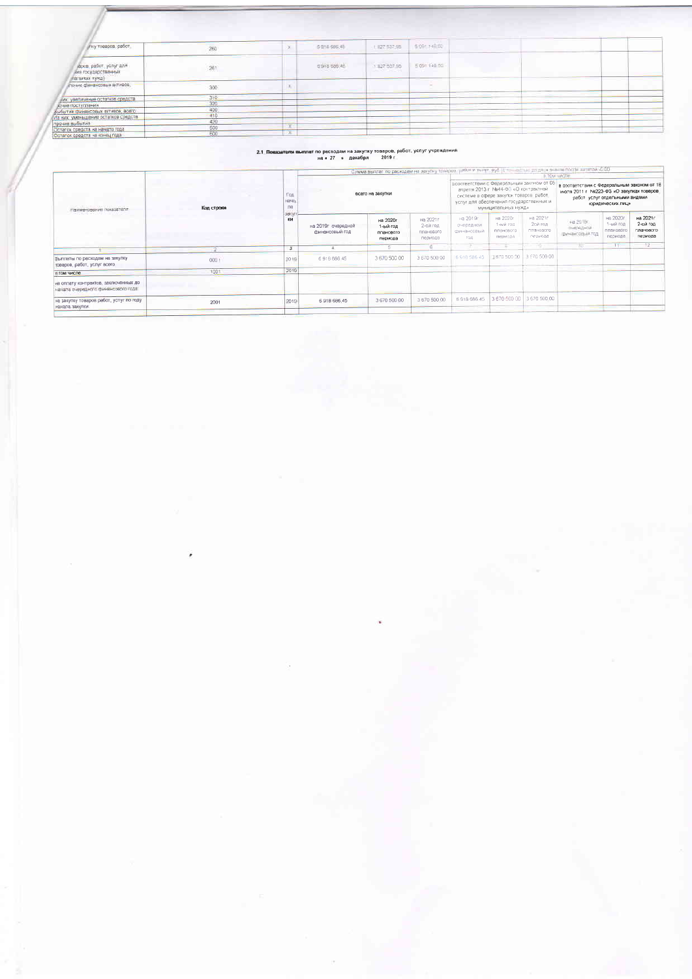| упку товаров, работ                                                       | 260        | 6916 686 45              | $-1.077.537.98$                                 | 6091748.00   |  |
|---------------------------------------------------------------------------|------------|--------------------------|-------------------------------------------------|--------------|--|
| деров, ребот, услуг для<br>оня госудирственных<br>Лапьных нужд)           | 261        | 6918 686.45<br>122210005 | 183783798<br><b>Controlled Controlled Print</b> | 5 091 145 50 |  |
| лтение финансовых активов.                                                | 300        |                          |                                                 |              |  |
| них, увеличение остатков средств<br>климе поступления                     | 310<br>320 |                          |                                                 |              |  |
| быбытие финансовых активов, всего<br>Из них, уменьшение остатков средств. | 400        |                          |                                                 |              |  |
| Ппрочив выбытия<br>Остаток средств на начало года                         | 420<br>500 |                          |                                                 |              |  |
| Correspondent and chapter to the                                          | 600        |                          |                                                 |              |  |

## $211$ по расходам на закупку товаров, работ, услуг учря<br>на = 27 декабря 2019 г

| Код страки | <b>Fon</b><br>HENRI<br>ла | всего не закупки                     |                                              |                                              | апреля 2013 г. Ne44-ФЗ «О контрактной<br>системе в сфере закупок товаров работ<br>успуг для обеспечения государственных и<br>муниципальных нужд» |                                              |                                             | в соответствии с Федеральным законом от 18<br>июля 2011 г. №223-ФЗ «О закупках товеров.<br>работ услуг отдельными видами<br><b>норидических лиц»</b> |                                                             |                                                                                                                   |
|------------|---------------------------|--------------------------------------|----------------------------------------------|----------------------------------------------|--------------------------------------------------------------------------------------------------------------------------------------------------|----------------------------------------------|---------------------------------------------|------------------------------------------------------------------------------------------------------------------------------------------------------|-------------------------------------------------------------|-------------------------------------------------------------------------------------------------------------------|
|            | 38K<br>ки                 | на 2019г очередной<br>финансовый год | на 2020г<br>1-ый год<br>планового<br>периода | на 2021г<br>2-ой год<br>ппанового<br>периода | на 2019г<br>очереднои<br>финансовый<br>ron                                                                                                       | на 2020г<br>1-ый год<br>ппанового<br>Периода | на 2021г<br>2ой год<br>ппанового<br>периода | Ha 2019c<br>mentance<br>речановый год                                                                                                                | на 2020г<br>1-ый год<br>ппанового<br>периода                | на 2021 г<br>2-ой год<br>планового<br>периода                                                                     |
|            |                           |                                      |                                              |                                              |                                                                                                                                                  |                                              |                                             | 35.                                                                                                                                                  | $1 +$                                                       | 12                                                                                                                |
| 0001       | 2019                      | 6918 586 45                          | 3 670 500 00                                 | 3 670 500 00                                 |                                                                                                                                                  |                                              |                                             |                                                                                                                                                      |                                                             |                                                                                                                   |
| 1001       | 2019                      |                                      |                                              |                                              |                                                                                                                                                  |                                              |                                             |                                                                                                                                                      |                                                             |                                                                                                                   |
|            |                           |                                      |                                              |                                              |                                                                                                                                                  |                                              |                                             |                                                                                                                                                      |                                                             |                                                                                                                   |
| 2001       | 2019                      | 6918686,45                           | 3 670 500 00                                 | 3 670 500 00                                 | 6 918 686 45                                                                                                                                     |                                              |                                             |                                                                                                                                                      |                                                             |                                                                                                                   |
|            |                           |                                      |                                              |                                              |                                                                                                                                                  |                                              |                                             | 6 918 586 45 3670 500 00 3 670 500 00<br>3 670 500 00 3 670 500 00                                                                                   | IL TOUR NIACTIE<br>соответствии с Федеральным законом от 05 | Сумма выплат по расходам не закупку 10 арон   воот и услуг ру.     11 - котор, до друг знаком после вы этом -0.00 |